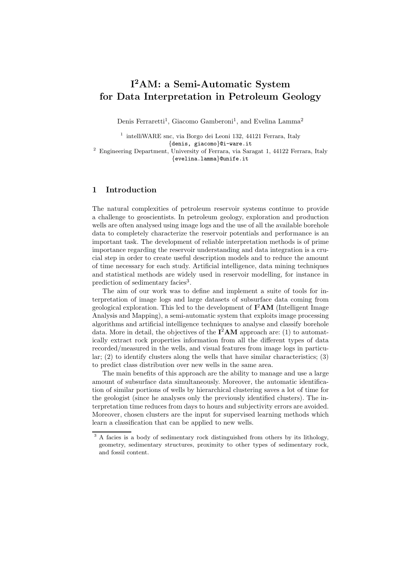# I <sup>2</sup>AM: a Semi-Automatic System for Data Interpretation in Petroleum Geology

Denis Ferraretti<sup>1</sup>, Giacomo Gamberoni<sup>1</sup>, and Evelina Lamma<sup>2</sup>

1 intelliWARE snc, via Borgo dei Leoni 132, 44121 Ferrara, Italy {denis, giacomo}@i-ware.it

<sup>2</sup> Engineering Department, University of Ferrara, via Saragat 1, 44122 Ferrara, Italy {evelina.lamma}@unife.it

## 1 Introduction

The natural complexities of petroleum reservoir systems continue to provide a challenge to geoscientists. In petroleum geology, exploration and production wells are often analysed using image logs and the use of all the available borehole data to completely characterize the reservoir potentials and performance is an important task. The development of reliable interpretation methods is of prime importance regarding the reservoir understanding and data integration is a crucial step in order to create useful description models and to reduce the amount of time necessary for each study. Artificial intelligence, data mining techniques and statistical methods are widely used in reservoir modelling, for instance in prediction of sedimentary facies<sup>3</sup>.

The aim of our work was to define and implement a suite of tools for interpretation of image logs and large datasets of subsurface data coming from geological exploration. This led to the development of  $\mathbf{I}^2\mathbf{A}\mathbf{M}$  (Intelligent Image Analysis and Mapping), a semi-automatic system that exploits image processing algorithms and artificial intelligence techniques to analyse and classify borehole data. More in detail, the objectives of the  $\mathbf{I}^2\mathbf{A}\mathbf{M}$  approach are: (1) to automatically extract rock properties information from all the different types of data recorded/measured in the wells, and visual features from image logs in particular; (2) to identify clusters along the wells that have similar characteristics; (3) to predict class distribution over new wells in the same area.

The main benefits of this approach are the ability to manage and use a large amount of subsurface data simultaneously. Moreover, the automatic identification of similar portions of wells by hierarchical clustering saves a lot of time for the geologist (since he analyses only the previously identified clusters). The interpretation time reduces from days to hours and subjectivity errors are avoided. Moreover, chosen clusters are the input for supervised learning methods which learn a classification that can be applied to new wells.

<sup>&</sup>lt;sup>3</sup> A facies is a body of sedimentary rock distinguished from others by its lithology, geometry, sedimentary structures, proximity to other types of sedimentary rock, and fossil content.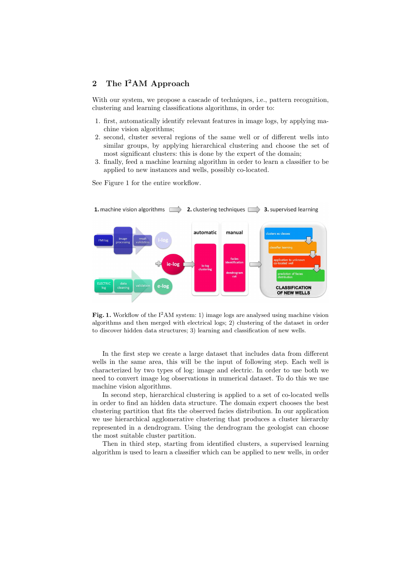# 2 The I<sup>2</sup>AM Approach

With our system, we propose a cascade of techniques, i.e., pattern recognition, clustering and learning classifications algorithms, in order to:

- 1. first, automatically identify relevant features in image logs, by applying machine vision algorithms;
- 2. second, cluster several regions of the same well or of different wells into similar groups, by applying hierarchical clustering and choose the set of most significant clusters: this is done by the expert of the domain;
- 3. finally, feed a machine learning algorithm in order to learn a classifier to be applied to new instances and wells, possibly co-located.

See Figure 1 for the entire workflow.



**Fig. 1.** Workflow of the  $I^2AM$  system: 1) image logs are analysed using machine vision algorithms and then merged with electrical logs; 2) clustering of the dataset in order to discover hidden data structures; 3) learning and classification of new wells.

In the first step we create a large dataset that includes data from different wells in the same area, this will be the input of following step. Each well is characterized by two types of log: image and electric. In order to use both we need to convert image log observations in numerical dataset. To do this we use machine vision algorithms.

In second step, hierarchical clustering is applied to a set of co-located wells in order to find an hidden data structure. The domain expert chooses the best clustering partition that fits the observed facies distribution. In our application we use hierarchical agglomerative clustering that produces a cluster hierarchy represented in a dendrogram. Using the dendrogram the geologist can choose the most suitable cluster partition.

Then in third step, starting from identified clusters, a supervised learning algorithm is used to learn a classifier which can be applied to new wells, in order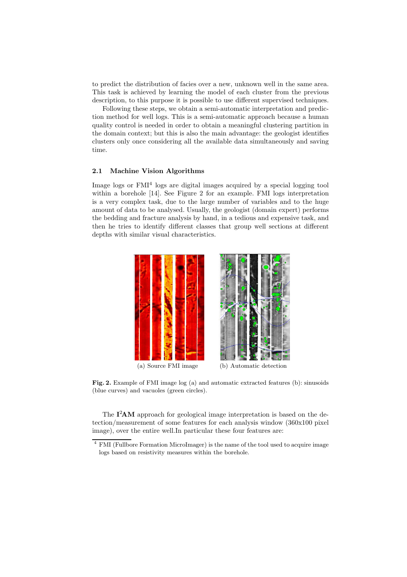to predict the distribution of facies over a new, unknown well in the same area. This task is achieved by learning the model of each cluster from the previous description, to this purpose it is possible to use different supervised techniques.

Following these steps, we obtain a semi-automatic interpretation and prediction method for well logs. This is a semi-automatic approach because a human quality control is needed in order to obtain a meaningful clustering partition in the domain context; but this is also the main advantage: the geologist identifies clusters only once considering all the available data simultaneously and saving time.

#### 2.1 Machine Vision Algorithms

Image logs or  $\text{FMI}^4$  logs are digital images acquired by a special logging tool within a borehole [14]. See Figure 2 for an example. FMI logs interpretation is a very complex task, due to the large number of variables and to the huge amount of data to be analysed. Usually, the geologist (domain expert) performs the bedding and fracture analysis by hand, in a tedious and expensive task, and then he tries to identify different classes that group well sections at different depths with similar visual characteristics.



Fig. 2. Example of FMI image log (a) and automatic extracted features (b): sinusoids (blue curves) and vacuoles (green circles).

The I<sup>2</sup>AM approach for geological image interpretation is based on the detection/measurement of some features for each analysis window (360x100 pixel image), over the entire well.In particular these four features are:

<sup>4</sup> FMI (Fullbore Formation MicroImager) is the name of the tool used to acquire image logs based on resistivity measures within the borehole.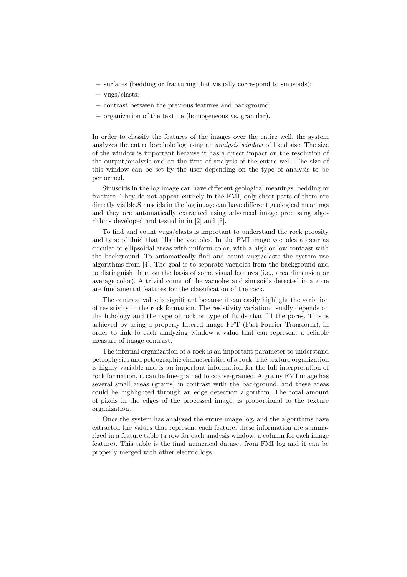- surfaces (bedding or fracturing that visually correspond to sinusoids);
- vugs/clasts;
- contrast between the previous features and background;
- organization of the texture (homogeneous vs. granular).

In order to classify the features of the images over the entire well, the system analyzes the entire borehole log using an analysis window of fixed size. The size of the window is important because it has a direct impact on the resolution of the output/analysis and on the time of analysis of the entire well. The size of this window can be set by the user depending on the type of analysis to be performed.

Sinusoids in the log image can have different geological meanings: bedding or fracture. They do not appear entirely in the FMI, only short parts of them are directly visible.Sinusoids in the log image can have different geological meanings and they are automatically extracted using advanced image processing algorithms developed and tested in in [2] and [3].

To find and count vugs/clasts is important to understand the rock porosity and type of fluid that fills the vacuoles. In the FMI image vacuoles appear as circular or ellipsoidal areas with uniform color, with a high or low contrast with the background. To automatically find and count vugs/clasts the system use algorithms from [4]. The goal is to separate vacuoles from the background and to distinguish them on the basis of some visual features (i.e., area dimension or average color). A trivial count of the vacuoles and sinusoids detected in a zone are fundamental features for the classification of the rock.

The contrast value is significant because it can easily highlight the variation of resistivity in the rock formation. The resistivity variation usually depends on the lithology and the type of rock or type of fluids that fill the pores. This is achieved by using a properly filtered image FFT (Fast Fourier Transform), in order to link to each analyzing window a value that can represent a reliable measure of image contrast.

The internal organization of a rock is an important parameter to understand petrophysics and petrographic characteristics of a rock. The texture organization is highly variable and is an important information for the full interpretation of rock formation, it can be fine-grained to coarse-grained. A grainy FMI image has several small areas (grains) in contrast with the background, and these areas could be highlighted through an edge detection algorithm. The total amount of pixels in the edges of the processed image, is proportional to the texture organization.

Once the system has analysed the entire image log, and the algorithms have extracted the values that represent each feature, these information are summarized in a feature table (a row for each analysis window, a column for each image feature). This table is the final numerical dataset from FMI log and it can be properly merged with other electric logs.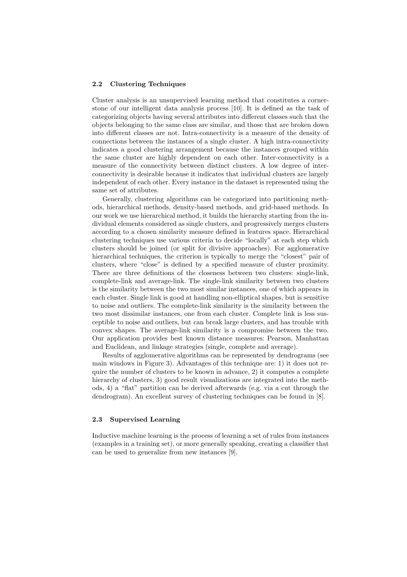#### 2.2 Clustering Techniques

Cluster analysis is an unsupervised learning method that constitutes a cornerstone of our intelligent data analysis process [10]. It is defined as the task of categorizing objects having several attributes into different classes such that the objects belonging to the same class are similar, and those that are broken down into different classes are not. Intra-connectivity is a measure of the density of connections between the instances of a single cluster. A high intra-connectivity indicates a good clustering arrangement because the instances grouped within the same cluster are highly dependent on each other. Inter-connectivity is a measure of the connectivity between distinct clusters. A low degree of interconnectivity is desirable because it indicates that individual clusters are largely independent of each other. Every instance in the dataset is represented using the same set of attributes.

Generally, clustering algorithms can be categorized into partitioning methods, hierarchical methods, density-based methods, and grid-based methods. In our work we use hierarchical method, it builds the hierarchy starting from the individual elements considered as single clusters, and progressively merges clusters according to a chosen similarity measure defined in features space. Hierarchical clustering techniques use various criteria to decide "locally" at each step which clusters should be joined (or split for divisive approaches). For agglomerative hierarchical techniques, the criterion is typically to merge the "closest" pair of clusters, where "close" is defined by a specified measure of cluster proximity. There are three definitions of the closeness between two clusters: single-link, complete-link and average-link. The single-link similarity between two clusters is the similarity between the two most similar instances, one of which appears in each cluster. Single link is good at handling non-elliptical shapes, but is sensitive to noise and outliers. The complete-link similarity is the similarity between the two most dissimilar instances, one from each cluster. Complete link is less susceptible to noise and outliers, but can break large clusters, and has trouble with convex shapes. The average-link similarity is a compromise between the two. Our application provides best known distance measures: Pearson, Manhattan and Euclidean, and linkage strategies (single, complete and average).

Results of agglomerative algorithms can be represented by dendrograms (see main windows in Figure 3). Advantages of this technique are: 1) it does not require the number of clusters to be known in advance, 2) it computes a complete hierarchy of clusters, 3) good result visualizations are integrated into the methods, 4) a "flat" partition can be derived afterwards (e.g. via a cut through the dendrogram). An excellent survey of clustering techniques can be found in [8].

#### 2.3 Supervised Learning

Inductive machine learning is the process of learning a set of rules from instances (examples in a training set), or more generally speaking, creating a classifier that can be used to generalize from new instances [9].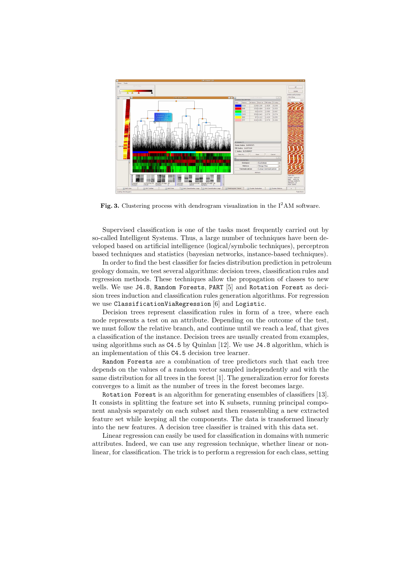

Fig. 3. Clustering process with dendrogram visualization in the  $I^2AM$  software.

Supervised classification is one of the tasks most frequently carried out by so-called Intelligent Systems. Thus, a large number of techniques have been developed based on artificial intelligence (logical/symbolic techniques), perceptron based techniques and statistics (bayesian networks, instance-based techniques).

In order to find the best classifier for facies distribution prediction in petroleum geology domain, we test several algorithms: decision trees, classification rules and regression methods. These techniques allow the propagation of classes to new wells. We use J4.8, Random Forests, PART [5] and Rotation Forest as decision trees induction and classification rules generation algorithms. For regression we use ClassificationViaRegression [6] and Logistic.

Decision trees represent classification rules in form of a tree, where each node represents a test on an attribute. Depending on the outcome of the test, we must follow the relative branch, and continue until we reach a leaf, that gives a classification of the instance. Decision trees are usually created from examples, using algorithms such as C4.5 by Quinlan [12]. We use J4.8 algorithm, which is an implementation of this C4.5 decision tree learner.

Random Forests are a combination of tree predictors such that each tree depends on the values of a random vector sampled independently and with the same distribution for all trees in the forest [1]. The generalization error for forests converges to a limit as the number of trees in the forest becomes large.

Rotation Forest is an algorithm for generating ensembles of classifiers [13]. It consists in splitting the feature set into K subsets, running principal component analysis separately on each subset and then reassembling a new extracted feature set while keeping all the components. The data is transformed linearly into the new features. A decision tree classifier is trained with this data set.

Linear regression can easily be used for classification in domains with numeric attributes. Indeed, we can use any regression technique, whether linear or nonlinear, for classification. The trick is to perform a regression for each class, setting